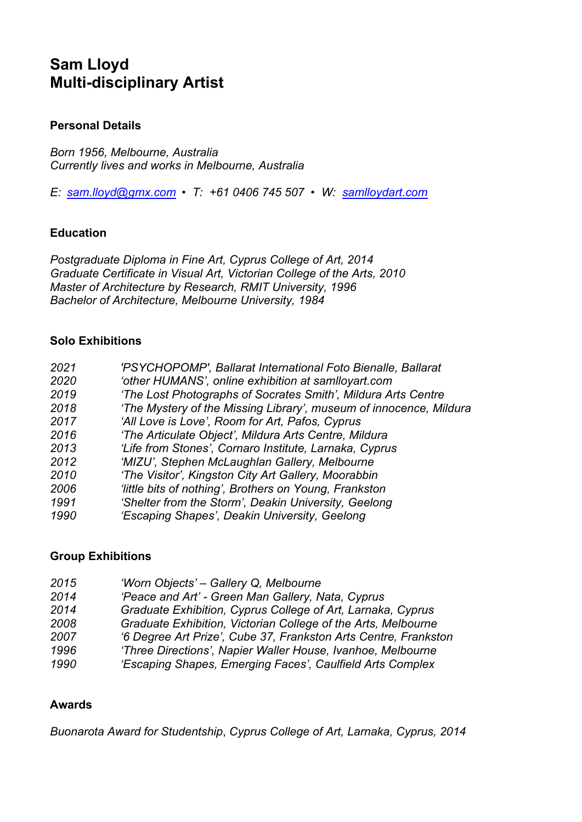# **Sam Lloyd Multi-disciplinary Artist**

# **Personal Details**

*Born 1956, Melbourne, Australia Currently lives and works in Melbourne, Australia*

*E: sam.lloyd@gmx.com • T: +61 0406 745 507 • W: samlloydart.com*

# **Education**

*Postgraduate Diploma in Fine Art, Cyprus College of Art, 2014 Graduate Certificate in Visual Art, Victorian College of the Arts, 2010 Master of Architecture by Research, RMIT University, 1996 Bachelor of Architecture, Melbourne University, 1984*

# **Solo Exhibitions**

| 2021 | 'PSYCHOPOMP', Ballarat International Foto Bienalle, Ballarat       |
|------|--------------------------------------------------------------------|
| 2020 | 'other HUMANS', online exhibition at samlloyart.com                |
| 2019 | 'The Lost Photographs of Socrates Smith', Mildura Arts Centre      |
| 2018 | 'The Mystery of the Missing Library', museum of innocence, Mildura |
| 2017 | 'All Love is Love', Room for Art, Pafos, Cyprus                    |
| 2016 | 'The Articulate Object', Mildura Arts Centre, Mildura              |
| 2013 | 'Life from Stones', Cornaro Institute, Larnaka, Cyprus             |
| 2012 | 'MIZU', Stephen McLaughlan Gallery, Melbourne                      |
| 2010 | 'The Visitor', Kingston City Art Gallery, Moorabbin                |
| 2006 | 'little bits of nothing', Brothers on Young, Frankston             |
| 1991 | 'Shelter from the Storm', Deakin University, Geelong               |
| 1990 | 'Escaping Shapes', Deakin University, Geelong                      |
|      |                                                                    |

#### **Group Exhibitions**

| 2015 | 'Worn Objects' - Gallery Q, Melbourne                           |
|------|-----------------------------------------------------------------|
| 2014 | 'Peace and Art' - Green Man Gallery, Nata, Cyprus               |
| 2014 | Graduate Exhibition, Cyprus College of Art, Larnaka, Cyprus     |
| 2008 | Graduate Exhibition, Victorian College of the Arts, Melbourne   |
| 2007 | '6 Degree Art Prize', Cube 37, Frankston Arts Centre, Frankston |
| 1996 | 'Three Directions', Napier Waller House, Ivanhoe, Melbourne     |
| 1990 | 'Escaping Shapes, Emerging Faces', Caulfield Arts Complex       |

#### **Awards**

*Buonarota Award for Studentship*, *Cyprus College of Art, Larnaka, Cyprus, 2014*